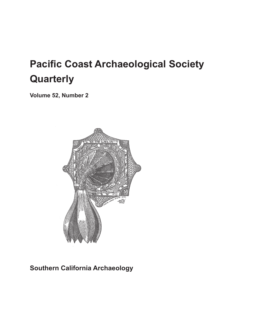# **Pacific Coast Archaeological Society Quarterly**

**Volume 52, Number 2**



### **Southern California Archaeology**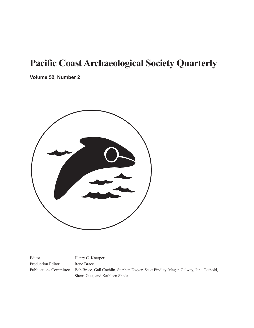## **Pacific Coast Archaeological Society Quarterly**

**Volume 52, Number 2**



Editor Henry C. Koerper Production Editor Rene Brace

Publications Committee Bob Brace, Gail Cochlin, Stephen Dwyer, Scott Findlay, Megan Galway, Jane Gothold, Sherri Gust, and Kathleen Shada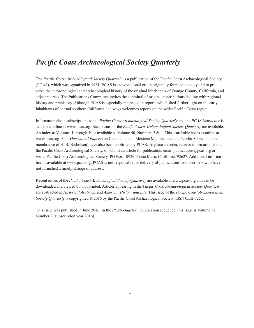#### *Pacific Coast Archaeological Society Quarterly*

The *Pacific Coast Archaeological Society Quarterly* is a publication of the Pacific Coast Archaeological Society (PCAS), which was organized in 1961. PCAS is an avocational group originally founded to study and to preserve the anthropological and archaeological history of the original inhabitants of Orange County, California, and adjacent areas. The Publications Committee invites the submittal of original contributions dealing with regional history and prehistory. Although PCAS is especially interested in reports which shed further light on the early inhabitants of coastal southern California, it always welcomes reports on the wider Pacific Coast region.

Information about subscriptions to the *Pacific Coast Archaeological Society Quarterly* and the *PCAS Newsletter* is available online at www.pcas.org. Back issues of the *Pacific Coast Archaeological Society Quarterly* are available. An index to Volumes 1 through 40 is available as Volume 40, Numbers 3 & 4. This searchable index is online at www.pcas.org. Four *Occasional Papers* (on Catalina Island, Mexican Majolica, and the Peralta Adobe and a remembrance of H. B. Nicholson) have also been published by PCAS. To place an order, receive information about the Pacific Coast Archaeological Society, or submit an article for publication, email publications@pcas.org or write: Pacific Coast Archaeological Society, PO Box 10926, Costa Mesa, California, 92627. Additional information is available at www.pcas.org. PCAS is not responsible for delivery of publications to subscribers who have not furnished a timely change of address.

Recent issues of the *Pacific Coast Archaeological Society Quarterly* are available at www.pcas.org and can be downloaded and viewed but not printed. Articles appearing in the *Pacific Coast Archaeological Society Quarterly*  are abstracted in *Historical Abstracts* and *America: History and Life*. This issue of the *Pacific Coast Archaeological Society Quarterly* is copyrighted © 2016 by the Pacific Coast Archaeological Society. ISSN 0552-7252.

This issue was published in June 2016. In the *PCAS Quarterly* publication sequence, this issue is Volume 52, Number 2 (subscription year 2016).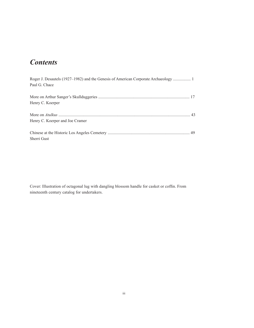### *Contents*

| Roger J. Desautels (1927–1982) and the Genesis of American Corporate Archaeology  1<br>Paul G. Chace |  |
|------------------------------------------------------------------------------------------------------|--|
| Henry C. Koerper                                                                                     |  |
| Henry C. Koerper and Joe Cramer                                                                      |  |
| Sherri Gust                                                                                          |  |

Cover: Illustration of octagonal lug with dangling blossom handle for casket or coffin. From nineteenth century catalog for undertakers.